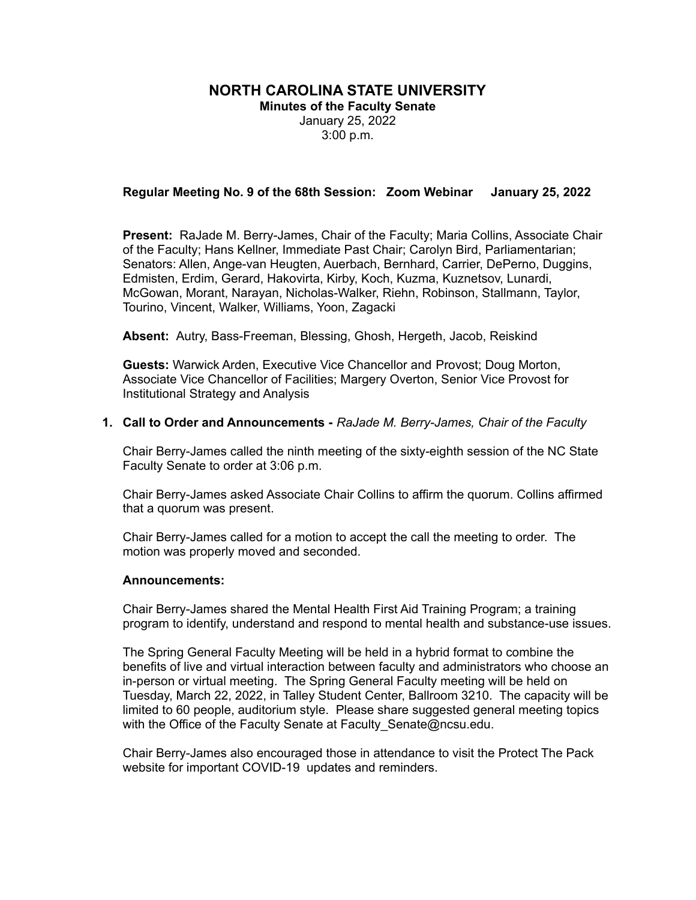## **NORTH CAROLINA STATE UNIVERSITY**

**Minutes of the Faculty Senate** January 25, 2022 3:00 p.m.

## **Regular Meeting No. 9 of the 68th Session: Zoom Webinar January 25, 2022**

**Present:** RaJade M. Berry-James, Chair of the Faculty; Maria Collins, Associate Chair of the Faculty; Hans Kellner, Immediate Past Chair; Carolyn Bird, Parliamentarian; Senators: Allen, Ange-van Heugten, Auerbach, Bernhard, Carrier, DePerno, Duggins, Edmisten, Erdim, Gerard, Hakovirta, Kirby, Koch, Kuzma, Kuznetsov, Lunardi, McGowan, Morant, Narayan, Nicholas-Walker, Riehn, Robinson, Stallmann, Taylor, Tourino, Vincent, Walker, Williams, Yoon, Zagacki

**Absent:** Autry, Bass-Freeman, Blessing, Ghosh, Hergeth, Jacob, Reiskind

**Guests:** Warwick Arden, Executive Vice Chancellor and Provost; Doug Morton, Associate Vice Chancellor of Facilities; Margery Overton, Senior Vice Provost for Institutional Strategy and Analysis

#### **1. Call to Order and Announcements -** *RaJade M. Berry-James, Chair of the Faculty*

Chair Berry-James called the ninth meeting of the sixty-eighth session of the NC State Faculty Senate to order at 3:06 p.m.

Chair Berry-James asked Associate Chair Collins to affirm the quorum. Collins affirmed that a quorum was present.

Chair Berry-James called for a motion to accept the call the meeting to order. The motion was properly moved and seconded.

#### **Announcements:**

Chair Berry-James shared the Mental Health First Aid Training Program; a training program to identify, understand and respond to mental health and substance-use issues.

The Spring General Faculty Meeting will be held in a hybrid format to combine the benefits of live and virtual interaction between faculty and administrators who choose an in-person or virtual meeting. The Spring General Faculty meeting will be held on Tuesday, March 22, 2022, in Talley Student Center, Ballroom 3210. The capacity will be limited to 60 people, auditorium style. Please share suggested general meeting topics with the Office of the Faculty Senate at Faculty Senate@ncsu.edu.

Chair Berry-James also encouraged those in attendance to visit the Protect The Pack website for important COVID-19 updates and reminders.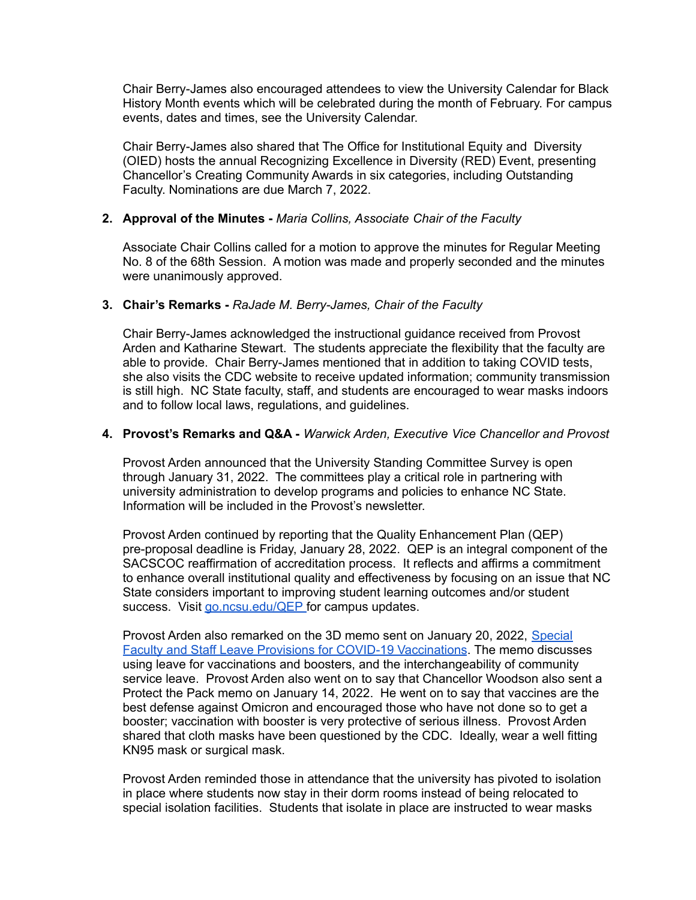Chair Berry-James also encouraged attendees to view the University Calendar for Black History Month events which will be celebrated during the month of February. For campus events, dates and times, see the University Calendar.

Chair Berry-James also shared that The Office for Institutional Equity and Diversity (OIED) hosts the annual Recognizing Excellence in Diversity (RED) Event, presenting Chancellor's Creating Community Awards in six categories, including Outstanding Faculty. Nominations are due March 7, 2022.

# **2. Approval of the Minutes -** *Maria Collins, Associate Chair of the Faculty*

Associate Chair Collins called for a motion to approve the minutes for Regular Meeting No. 8 of the 68th Session. A motion was made and properly seconded and the minutes were unanimously approved.

## **3. Chair's Remarks -** *RaJade M. Berry-James, Chair of the Faculty*

Chair Berry-James acknowledged the instructional guidance received from Provost Arden and Katharine Stewart. The students appreciate the flexibility that the faculty are able to provide. Chair Berry-James mentioned that in addition to taking COVID tests, she also visits the CDC website to receive updated information; community transmission is still high. NC State faculty, staff, and students are encouraged to wear masks indoors and to follow local laws, regulations, and guidelines.

## **4. Provost's Remarks and Q&A -** *Warwick Arden, Executive Vice Chancellor and Provost*

Provost Arden announced that the University Standing Committee Survey is open through January 31, 2022. The committees play a critical role in partnering with university administration to develop programs and policies to enhance NC State. Information will be included in the Provost's newsletter.

Provost Arden continued by reporting that the Quality Enhancement Plan (QEP) pre-proposal deadline is Friday, January 28, 2022. QEP is an integral component of the SACSCOC reaffirmation of accreditation process. It reflects and affirms a commitment to enhance overall institutional quality and effectiveness by focusing on an issue that NC State considers important to improving student learning outcomes and/or student success. Visit [go.ncsu.edu/QEP](http://go.ncsu.edu/QEP) for campus updates.

Provost Arden also remarked on the 3D memo sent on January 20, 2022, [Special](mailto:covid-19leave@ncsu.edu) Faculty and Staff Leave Provisions for COVID-19 [Vaccinations](mailto:covid-19leave@ncsu.edu). The memo discusses using leave for vaccinations and boosters, and the interchangeability of community service leave. Provost Arden also went on to say that Chancellor Woodson also sent a Protect the Pack memo on January 14, 2022. He went on to say that vaccines are the best defense against Omicron and encouraged those who have not done so to get a booster; vaccination with booster is very protective of serious illness. Provost Arden shared that cloth masks have been questioned by the CDC. Ideally, wear a well fitting KN95 mask or surgical mask.

Provost Arden reminded those in attendance that the university has pivoted to isolation in place where students now stay in their dorm rooms instead of being relocated to special isolation facilities. Students that isolate in place are instructed to wear masks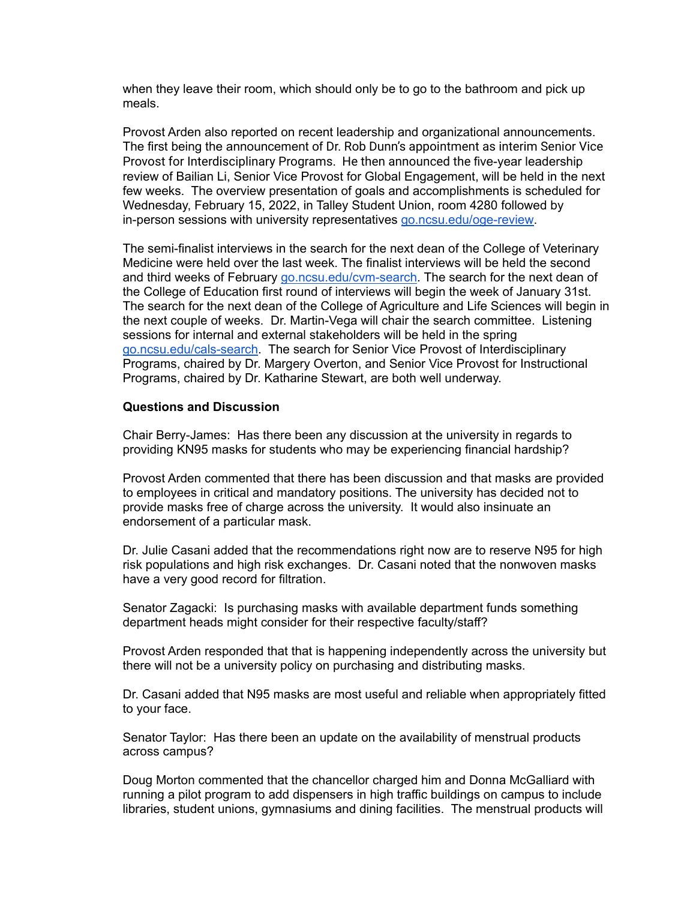when they leave their room, which should only be to go to the bathroom and pick up meals.

Provost Arden also reported on recent leadership and organizational announcements. The first being the announcement of Dr. Rob Dunn's appointment as interim Senior Vice Provost for Interdisciplinary Programs. He then announced the five-year leadership review of Bailian Li, Senior Vice Provost for Global Engagement, will be held in the next few weeks. The overview presentation of goals and accomplishments is scheduled for Wednesday, February 15, 2022, in Talley Student Union, room 4280 followed by in-person sessions with university representatives [go.ncsu.edu/oge-review.](http://go.ncsu.edu/oge-review)

The semi-finalist interviews in the search for the next dean of the College of Veterinary Medicine were held over the last week. The finalist interviews will be held the second and third weeks of February [go.ncsu.edu/cvm-search](http://go.ncsu.edu/cvm-search). The search for the next dean of the College of Education first round of interviews will begin the week of January 31st. The search for the next dean of the College of Agriculture and Life Sciences will begin in the next couple of weeks. Dr. Martin-Vega will chair the search committee. Listening sessions for internal and external stakeholders will be held in the spring [go.ncsu.edu/cals-search](http://go.ncsu.edu/cals-search). The search for Senior Vice Provost of Interdisciplinary Programs, chaired by Dr. Margery Overton, and Senior Vice Provost for Instructional Programs, chaired by Dr. Katharine Stewart, are both well underway.

## **Questions and Discussion**

Chair Berry-James: Has there been any discussion at the university in regards to providing KN95 masks for students who may be experiencing financial hardship?

Provost Arden commented that there has been discussion and that masks are provided to employees in critical and mandatory positions. The university has decided not to provide masks free of charge across the university. It would also insinuate an endorsement of a particular mask.

Dr. Julie Casani added that the recommendations right now are to reserve N95 for high risk populations and high risk exchanges. Dr. Casani noted that the nonwoven masks have a very good record for filtration.

Senator Zagacki: Is purchasing masks with available department funds something department heads might consider for their respective faculty/staff?

Provost Arden responded that that is happening independently across the university but there will not be a university policy on purchasing and distributing masks.

Dr. Casani added that N95 masks are most useful and reliable when appropriately fitted to your face.

Senator Taylor: Has there been an update on the availability of menstrual products across campus?

Doug Morton commented that the chancellor charged him and Donna McGalliard with running a pilot program to add dispensers in high traffic buildings on campus to include libraries, student unions, gymnasiums and dining facilities. The menstrual products will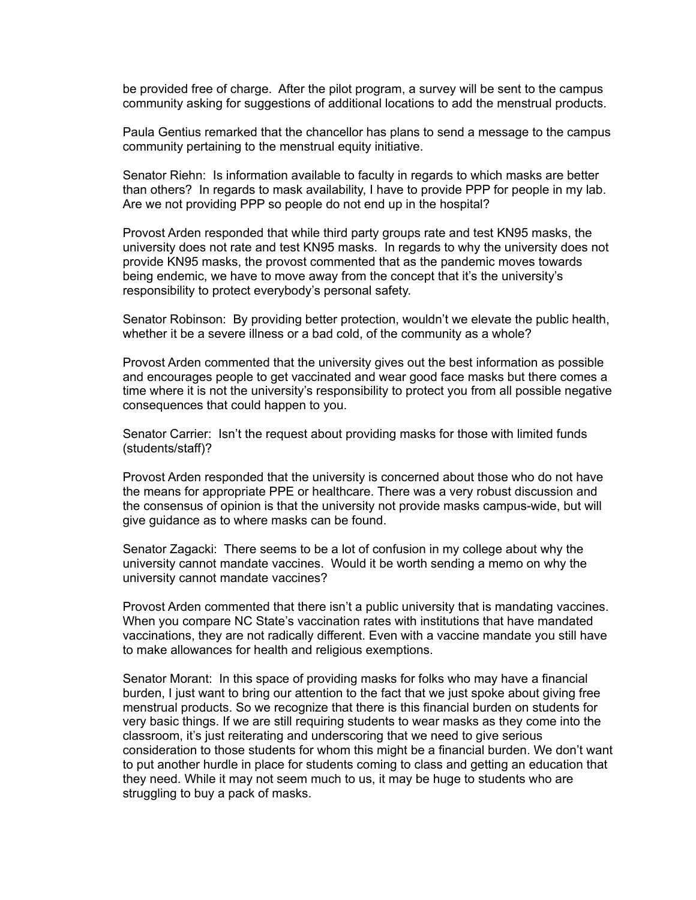be provided free of charge. After the pilot program, a survey will be sent to the campus community asking for suggestions of additional locations to add the menstrual products.

Paula Gentius remarked that the chancellor has plans to send a message to the campus community pertaining to the menstrual equity initiative.

Senator Riehn: Is information available to faculty in regards to which masks are better than others? In regards to mask availability, I have to provide PPP for people in my lab. Are we not providing PPP so people do not end up in the hospital?

Provost Arden responded that while third party groups rate and test KN95 masks, the university does not rate and test KN95 masks. In regards to why the university does not provide KN95 masks, the provost commented that as the pandemic moves towards being endemic, we have to move away from the concept that it's the university's responsibility to protect everybody's personal safety.

Senator Robinson: By providing better protection, wouldn't we elevate the public health, whether it be a severe illness or a bad cold, of the community as a whole?

Provost Arden commented that the university gives out the best information as possible and encourages people to get vaccinated and wear good face masks but there comes a time where it is not the university's responsibility to protect you from all possible negative consequences that could happen to you.

Senator Carrier: Isn't the request about providing masks for those with limited funds (students/staff)?

Provost Arden responded that the university is concerned about those who do not have the means for appropriate PPE or healthcare. There was a very robust discussion and the consensus of opinion is that the university not provide masks campus-wide, but will give guidance as to where masks can be found.

Senator Zagacki: There seems to be a lot of confusion in my college about why the university cannot mandate vaccines. Would it be worth sending a memo on why the university cannot mandate vaccines?

Provost Arden commented that there isn't a public university that is mandating vaccines. When you compare NC State's vaccination rates with institutions that have mandated vaccinations, they are not radically different. Even with a vaccine mandate you still have to make allowances for health and religious exemptions.

Senator Morant: In this space of providing masks for folks who may have a financial burden, I just want to bring our attention to the fact that we just spoke about giving free menstrual products. So we recognize that there is this financial burden on students for very basic things. If we are still requiring students to wear masks as they come into the classroom, it's just reiterating and underscoring that we need to give serious consideration to those students for whom this might be a financial burden. We don't want to put another hurdle in place for students coming to class and getting an education that they need. While it may not seem much to us, it may be huge to students who are struggling to buy a pack of masks.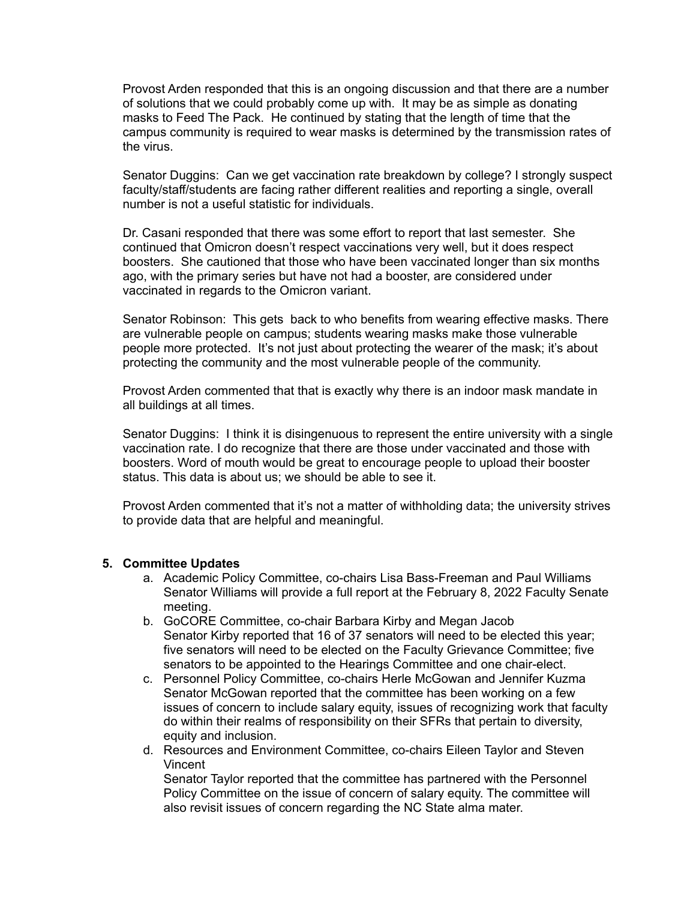Provost Arden responded that this is an ongoing discussion and that there are a number of solutions that we could probably come up with. It may be as simple as donating masks to Feed The Pack. He continued by stating that the length of time that the campus community is required to wear masks is determined by the transmission rates of the virus.

Senator Duggins: Can we get vaccination rate breakdown by college? I strongly suspect faculty/staff/students are facing rather different realities and reporting a single, overall number is not a useful statistic for individuals.

Dr. Casani responded that there was some effort to report that last semester. She continued that Omicron doesn't respect vaccinations very well, but it does respect boosters. She cautioned that those who have been vaccinated longer than six months ago, with the primary series but have not had a booster, are considered under vaccinated in regards to the Omicron variant.

Senator Robinson: This gets back to who benefits from wearing effective masks. There are vulnerable people on campus; students wearing masks make those vulnerable people more protected. It's not just about protecting the wearer of the mask; it's about protecting the community and the most vulnerable people of the community.

Provost Arden commented that that is exactly why there is an indoor mask mandate in all buildings at all times.

Senator Duggins: I think it is disingenuous to represent the entire university with a single vaccination rate. I do recognize that there are those under vaccinated and those with boosters. Word of mouth would be great to encourage people to upload their booster status. This data is about us; we should be able to see it.

Provost Arden commented that it's not a matter of withholding data; the university strives to provide data that are helpful and meaningful.

### **5. Committee Updates**

- a. Academic Policy Committee, co-chairs Lisa Bass-Freeman and Paul Williams Senator Williams will provide a full report at the February 8, 2022 Faculty Senate meeting.
- b. GoCORE Committee, co-chair Barbara Kirby and Megan Jacob Senator Kirby reported that 16 of 37 senators will need to be elected this year; five senators will need to be elected on the Faculty Grievance Committee; five senators to be appointed to the Hearings Committee and one chair-elect.
- c. Personnel Policy Committee, co-chairs Herle McGowan and Jennifer Kuzma Senator McGowan reported that the committee has been working on a few issues of concern to include salary equity, issues of recognizing work that faculty do within their realms of responsibility on their SFRs that pertain to diversity, equity and inclusion.
- d. Resources and Environment Committee, co-chairs Eileen Taylor and Steven Vincent Senator Taylor reported that the committee has partnered with the Personnel Policy Committee on the issue of concern of salary equity. The committee will also revisit issues of concern regarding the NC State alma mater.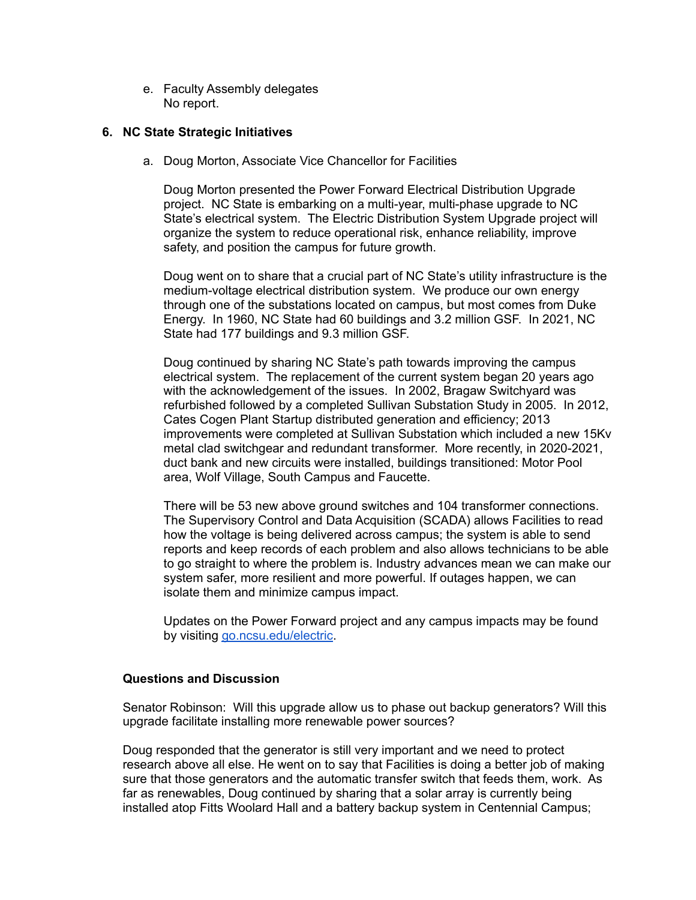e. Faculty Assembly delegates No report.

## **6. NC State Strategic Initiatives**

a. Doug Morton, Associate Vice Chancellor for Facilities

Doug Morton presented the Power Forward Electrical Distribution Upgrade project. NC State is embarking on a multi-year, multi-phase upgrade to NC State's electrical system. The Electric Distribution System Upgrade project will organize the system to reduce operational risk, enhance reliability, improve safety, and position the campus for future growth.

Doug went on to share that a crucial part of NC State's utility infrastructure is the medium-voltage electrical distribution system. We produce our own energy through one of the substations located on campus, but most comes from Duke Energy. In 1960, NC State had 60 buildings and 3.2 million GSF. In 2021, NC State had 177 buildings and 9.3 million GSF.

Doug continued by sharing NC State's path towards improving the campus electrical system. The replacement of the current system began 20 years ago with the acknowledgement of the issues. In 2002, Bragaw Switchyard was refurbished followed by a completed Sullivan Substation Study in 2005. In 2012, Cates Cogen Plant Startup distributed generation and efficiency; 2013 improvements were completed at Sullivan Substation which included a new 15Kv metal clad switchgear and redundant transformer. More recently, in 2020-2021, duct bank and new circuits were installed, buildings transitioned: Motor Pool area, Wolf Village, South Campus and Faucette.

There will be 53 new above ground switches and 104 transformer connections. The Supervisory Control and Data Acquisition (SCADA) allows Facilities to read how the voltage is being delivered across campus; the system is able to send reports and keep records of each problem and also allows technicians to be able to go straight to where the problem is. Industry advances mean we can make our system safer, more resilient and more powerful. If outages happen, we can isolate them and minimize campus impact.

Updates on the Power Forward project and any campus impacts may be found by visiting [go.ncsu.edu/electric](http://go.ncsu.edu/electric).

### **Questions and Discussion**

Senator Robinson: Will this upgrade allow us to phase out backup generators? Will this upgrade facilitate installing more renewable power sources?

Doug responded that the generator is still very important and we need to protect research above all else. He went on to say that Facilities is doing a better job of making sure that those generators and the automatic transfer switch that feeds them, work. As far as renewables, Doug continued by sharing that a solar array is currently being installed atop Fitts Woolard Hall and a battery backup system in Centennial Campus;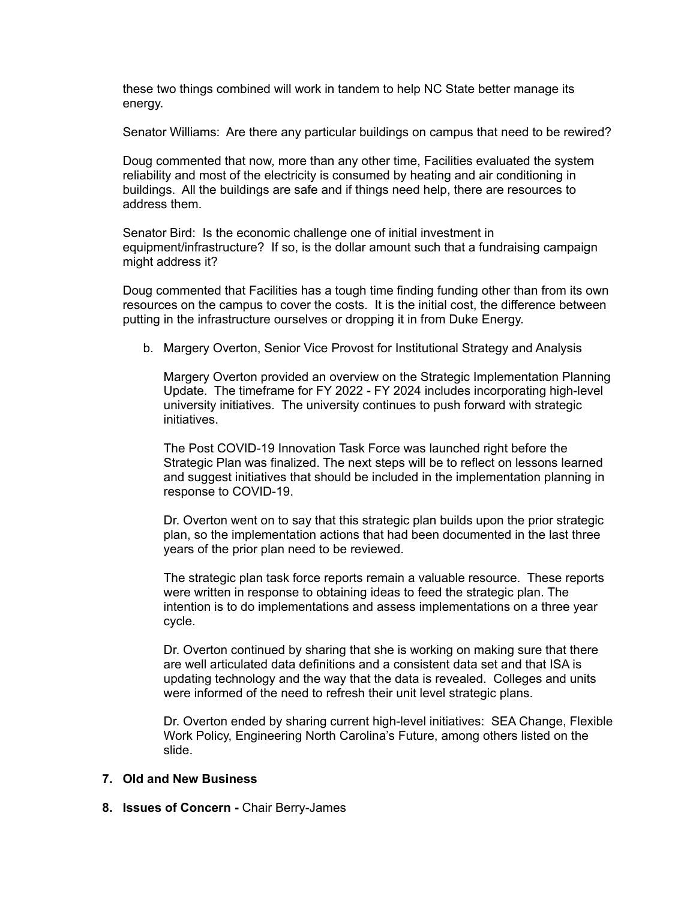these two things combined will work in tandem to help NC State better manage its energy.

Senator Williams: Are there any particular buildings on campus that need to be rewired?

Doug commented that now, more than any other time, Facilities evaluated the system reliability and most of the electricity is consumed by heating and air conditioning in buildings. All the buildings are safe and if things need help, there are resources to address them.

Senator Bird: Is the economic challenge one of initial investment in equipment/infrastructure? If so, is the dollar amount such that a fundraising campaign might address it?

Doug commented that Facilities has a tough time finding funding other than from its own resources on the campus to cover the costs. It is the initial cost, the difference between putting in the infrastructure ourselves or dropping it in from Duke Energy.

b. Margery Overton, Senior Vice Provost for Institutional Strategy and Analysis

Margery Overton provided an overview on the Strategic Implementation Planning Update. The timeframe for FY 2022 - FY 2024 includes incorporating high-level university initiatives. The university continues to push forward with strategic initiatives.

The Post COVID-19 Innovation Task Force was launched right before the Strategic Plan was finalized. The next steps will be to reflect on lessons learned and suggest initiatives that should be included in the implementation planning in response to COVID-19.

Dr. Overton went on to say that this strategic plan builds upon the prior strategic plan, so the implementation actions that had been documented in the last three years of the prior plan need to be reviewed.

The strategic plan task force reports remain a valuable resource. These reports were written in response to obtaining ideas to feed the strategic plan. The intention is to do implementations and assess implementations on a three year cycle.

Dr. Overton continued by sharing that she is working on making sure that there are well articulated data definitions and a consistent data set and that ISA is updating technology and the way that the data is revealed. Colleges and units were informed of the need to refresh their unit level strategic plans.

Dr. Overton ended by sharing current high-level initiatives: SEA Change, Flexible Work Policy, Engineering North Carolina's Future, among others listed on the slide.

### **7. Old and New Business**

**8. Issues of Concern -** Chair Berry-James